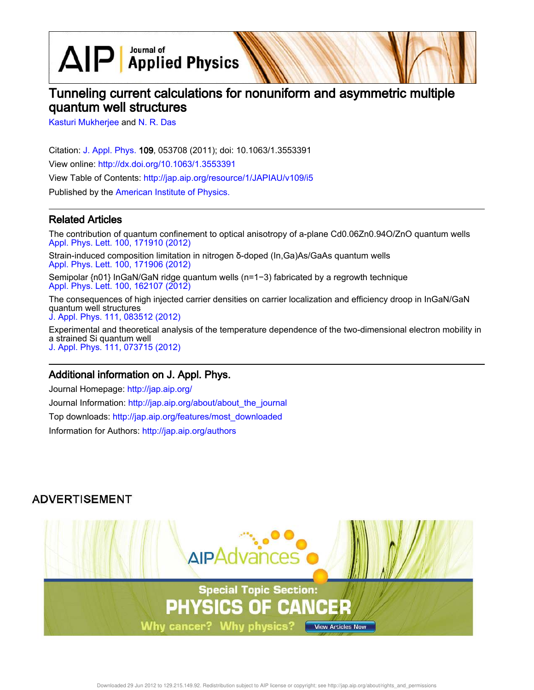$\text{AlP}$  Applied Physics

# Tunneling current calculations for nonuniform and asymmetric multiple quantum well structures

Kasturi Mukherjee and N. R. Das

Citation: J. Appl. Phys. 109, 053708 (2011); doi: 10.1063/1.3553391 View online: http://dx.doi.org/10.1063/1.3553391 View Table of Contents: http://jap.aip.org/resource/1/JAPIAU/v109/i5 Published by the American Institute of Physics.

### Related Articles

The contribution of quantum confinement to optical anisotropy of a-plane Cd0.06Zn0.94O/ZnO quantum wells Appl. Phys. Lett. 100, 171910 (2012)

Strain-induced composition limitation in nitrogen δ-doped (In,Ga)As/GaAs quantum wells Appl. Phys. Lett. 100, 171906 (2012)

Semipolar {n01} InGaN/GaN ridge quantum wells (n=1−3) fabricated by a regrowth technique Appl. Phys. Lett. 100, 162107 (2012)

The consequences of high injected carrier densities on carrier localization and efficiency droop in InGaN/GaN quantum well structures J. Appl. Phys. 111, 083512 (2012)

Experimental and theoretical analysis of the temperature dependence of the two-dimensional electron mobility in a strained Si quantum well J. Appl. Phys. 111, 073715 (2012)

### Additional information on J. Appl. Phys.

Journal Homepage: http://jap.aip.org/ Journal Information: http://jap.aip.org/about/about\_the\_journal Top downloads: http://jap.aip.org/features/most\_downloaded Information for Authors: http://jap.aip.org/authors

## **ADVERTISEMENT**

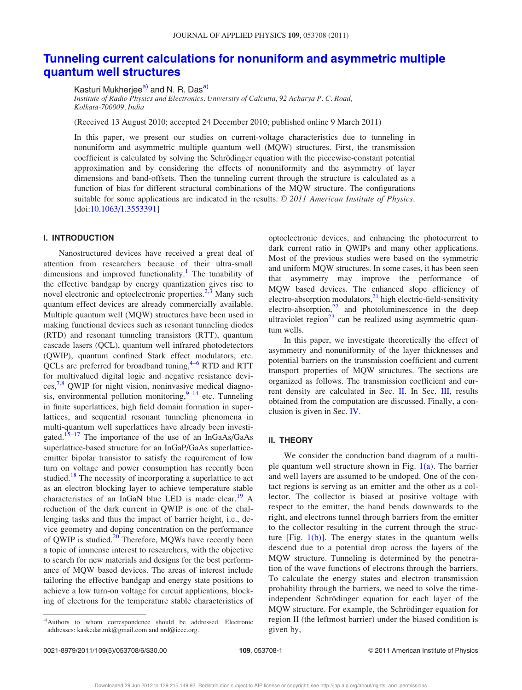## Tunneling current calculations for nonuniform and asymmetric multiple quantum well structures

Kasturi Mukherjee<sup>a)</sup> and N. R. Das<sup>a)</sup>

*Institute of Radio Physics and Electronics, University of Calcutta, 92 Acharya P. C. Road, Kolkata-700009, India*

(Received 13 August 2010; accepted 24 December 2010; published online 9 March 2011)

In this paper, we present our studies on current-voltage characteristics due to tunneling in nonuniform and asymmetric multiple quantum well (MQW) structures. First, the transmission coefficient is calculated by solving the Schrödinger equation with the piecewise-constant potential approximation and by considering the effects of nonuniformity and the asymmetry of layer dimensions and band-offsets. Then the tunneling current through the structure is calculated as a function of bias for different structural combinations of the MQW structure. The configurations suitable for some applications are indicated in the results. © 2011 American Institute of Physics. [doi:10.1063/1.3553391]

#### I. INTRODUCTION

Nanostructured devices have received a great deal of attention from researchers because of their ultra-small dimensions and improved functionality.<sup>1</sup> The tunability of the effective bandgap by energy quantization gives rise to novel electronic and optoelectronic properties.<sup>2,3</sup> Many such quantum effect devices are already commercially available. Multiple quantum well (MQW) structures have been used in making functional devices such as resonant tunneling diodes (RTD) and resonant tunneling transistors (RTT), quantum cascade lasers (QCL), quantum well infrared photodetectors (QWIP), quantum confined Stark effect modulators, etc. QCLs are preferred for broadband tuning, $4-6$  RTD and RTT for multivalued digital logic and negative resistance devices,<sup>7,8</sup> QWIP for night vision, noninvasive medical diagnosis, environmental pollution monitoring,  $9-14$  etc. Tunneling in finite superlattices, high field domain formation in superlattices, and sequential resonant tunneling phenomena in multi-quantum well superlattices have already been investigated.<sup>15–17</sup> The importance of the use of an InGaAs/GaAs superlattice-based structure for an InGaP/GaAs superlatticeemitter bipolar transistor to satisfy the requirement of low turn on voltage and power consumption has recently been studied.<sup>18</sup> The necessity of incorporating a superlattice to act as an electron blocking layer to achieve temperature stable characteristics of an InGaN blue LED is made clear.<sup>19</sup> A reduction of the dark current in QWIP is one of the challenging tasks and thus the impact of barrier height, i.e., device geometry and doping concentration on the performance of QWIP is studied.<sup>20</sup> Therefore, MQWs have recently been a topic of immense interest to researchers, with the objective to search for new materials and designs for the best performance of MQW based devices. The areas of interest include tailoring the effective bandgap and energy state positions to achieve a low turn-on voltage for circuit applications, blocking of electrons for the temperature stable characteristics of optoelectronic devices, and enhancing the photocurrent to dark current ratio in QWIPs and many other applications. Most of the previous studies were based on the symmetric and uniform MQW structures. In some cases, it has been seen that asymmetry may improve the performance of MQW based devices. The enhanced slope efficiency of electro-absorption modulators, $21$  high electric-field-sensitivity electro-absorption, $^{22}$  and photoluminescence in the deep ultraviolet region $^{23}$  can be realized using asymmetric quantum wells.

In this paper, we investigate theoretically the effect of asymmetry and nonuniformity of the layer thicknesses and potential barriers on the transmission coefficient and current transport properties of MQW structures. The sections are organized as follows. The transmission coefficient and current density are calculated in Sec. II. In Sec. III, results obtained from the computation are discussed. Finally, a conclusion is given in Sec. IV.

#### II. THEORY

We consider the conduction band diagram of a multiple quantum well structure shown in Fig.  $1(a)$ . The barrier and well layers are assumed to be undoped. One of the contact regions is serving as an emitter and the other as a collector. The collector is biased at positive voltage with respect to the emitter, the band bends downwards to the right, and electrons tunnel through barriers from the emitter to the collector resulting in the current through the structure  $[Fig, 1(b)]$ . The energy states in the quantum wells descend due to a potential drop across the layers of the MQW structure. Tunneling is determined by the penetration of the wave functions of electrons through the barriers. To calculate the energy states and electron transmission probability through the barriers, we need to solve the timeindependent Schrödinger equation for each layer of the MQW structure. For example, the Schrödinger equation for region II (the leftmost barrier) under the biased condition is given by,

a)Authors to whom correspondence should be addressed. Electronic addresses: kaskedar.mk@gmail.com and nrd@ieee.org.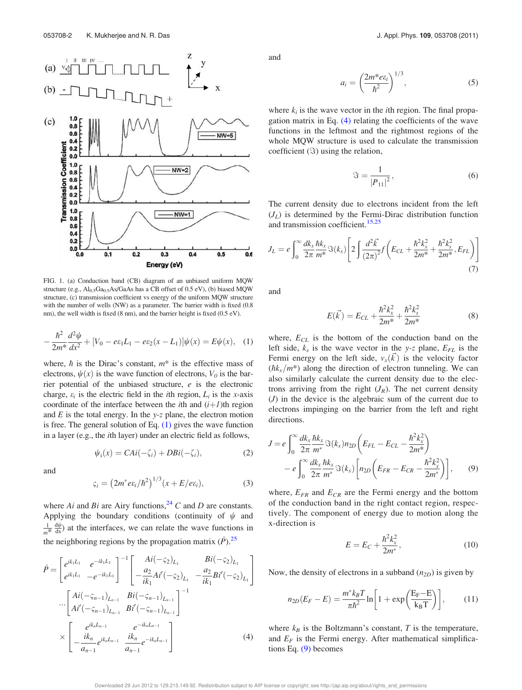

FIG. 1. (a) Conduction band (CB) diagram of an unbiased uniform MQW structure (e.g.,  $\text{Al}_{0.5}\text{Ga}_{0.5}\text{As/GaAs}$  has a CB offset of 0.5 eV), (b) biased MQW structure, (c) transmission coefficient vs energy of the uniform MQW structure with the number of wells (NW) as a parameter. The barrier width is fixed (0.8 nm), the well width is fixed (8 nm), and the barrier height is fixed (0.5 eV).

$$
-\frac{\hbar^2}{2m^*}\frac{d^2\psi}{dx^2} + [V_0 - e\epsilon_1 L_1 - e\epsilon_2(x - L_1)]\psi(x) = E\psi(x), \quad (1)
$$

where,  $\hbar$  is the Dirac's constant,  $m^*$  is the effective mass of electrons,  $\psi(x)$  is the wave function of electrons,  $V_0$  is the barrier potential of the unbiased structure, *e* is the electronic charge,  $\varepsilon_i$  is the electric field in the *i*th region,  $L_i$  is the *x*-axis coordinate of the interface between the *i*th and  $(i+1)$ th region and *E* is the total energy. In the *y-z* plane, the electron motion is free. The general solution of Eq.  $(1)$  gives the wave function in a layer (e.g., the *i*th layer) under an electric field as follows,

$$
\psi_i(x) = C Ai(-\zeta_i) + D Bi(-\zeta_i), \qquad (2)
$$

and

$$
\varsigma_i = \left(2m^*e\epsilon_i/\hbar^2\right)^{1/3}\left(x + E/e\epsilon_i\right),\tag{3}
$$

where  $Ai$  and  $Bi$  are Airy functions,<sup>24</sup>  $C$  and  $D$  are constants. Applying the boundary conditions (continuity of  $\psi$  and  $\frac{1}{m^*} \frac{d\psi}{dx}$  at the interfaces, we can relate the wave functions in the neighboring regions by the propagation matrix  $(\hat{P})$ .<sup>25</sup>

$$
\hat{P} = \begin{bmatrix} e^{ik_1L_1} & e^{-ik_1L_1} \\ e^{ik_1L_1} & -e^{-ik_1L_1} \end{bmatrix}^{-1} \begin{bmatrix} Ai(-\varsigma_2)_{L_1} & Bi(-\varsigma_2)_{L_1} \\ -\frac{a_2}{ik_1}Ai'(-\varsigma_2)_{L_1} & -\frac{a_2}{ik_1}Bi'(-\varsigma_2)_{L_1} \end{bmatrix}
$$

$$
\cdots \begin{bmatrix} Ai(-\varsigma_{n-1})_{L_{n-1}} & Bi(-\varsigma_{n-1})_{L_{n-1}} \\ Ai'(-\varsigma_{n-1})_{L_{n-1}} & Bi'(-\varsigma_{n-1})_{L_{n-1}} \end{bmatrix}^{-1}
$$

$$
\times \begin{bmatrix} e^{ik_nL_{n-1}} & e^{-ik_nL_{n-1}} \\ -\frac{ik_n}{a_{n-1}}e^{ik_nL_{n-1}} & \frac{ik_n}{a_{n-1}}e^{-ik_nL_{n-1}} \end{bmatrix}
$$
(4)

and

$$
a_i = \left(\frac{2m^*e\epsilon_i}{\hbar^2}\right)^{1/3},\tag{5}
$$

where  $k_i$  is the wave vector in the *i*th region. The final propagation matrix in Eq. (4) relating the coefficients of the wave functions in the leftmost and the rightmost regions of the whole MQW structure is used to calculate the transmission coefficient  $(\Im)$  using the relation,

$$
\Im = \frac{1}{|P_{11}|^2},\tag{6}
$$

The current density due to electrons incident from the left  $(J_L)$  is determined by the Fermi-Dirac distribution function and transmission coefficient.<sup>15,25</sup>

$$
J_L = e \int_0^\infty \frac{dk_x}{2\pi} \frac{\hbar k_x}{m^*} \Im(k_x) \left[ 2 \int \frac{d^2 \vec{k}}{(2\pi)^2} f\left( E_{CL} + \frac{\hbar^2 k_x^2}{2m^*} + \frac{\hbar^2 k_y^2}{2m^*}, E_{FL} \right) \right]
$$
(7)

and

$$
E(\vec{k}) = E_{CL} + \frac{\hbar^2 k_x^2}{2m^*} + \frac{\hbar^2 k_s^2}{2m^*}
$$
 (8)

where,  $E_{CL}$  is the bottom of the conduction band on the left side,  $k_s$  is the wave vector in the *y*-z plane,  $E_{FL}$  is the Fermi energy on the left side,  $v_x(k)$  is the velocity factor  $(\hbar k_x/m^*)$  along the direction of electron tunneling. We can also similarly calculate the current density due to the electrons arriving from the right  $(J_R)$ . The net current density (*J*) in the device is the algebraic sum of the current due to electrons impinging on the barrier from the left and right directions.

$$
J = e \int_0^\infty \frac{dk_x}{2\pi} \frac{\hbar k_x}{m^*} \Im(k_x) n_{2D} \left( E_{FL} - E_{CL} - \frac{\hbar^2 k_x^2}{2m^*} \right) - e \int_0^\infty \frac{dk_x}{2\pi} \frac{\hbar k_x}{m^*} \Im(k_x) \left[ n_{2D} \left( E_{FR} - E_{CR} - \frac{\hbar^2 k_x^2}{2m^*} \right) \right],
$$
 (9)

where, *EFR* and *ECR* are the Fermi energy and the bottom of the conduction band in the right contact region, respectively. The component of energy due to motion along the x-direction is

$$
E = E_C + \frac{\hbar^2 k_x^2}{2m^*},
$$
\t(10)

Now, the density of electrons in a subband  $(n_{2D})$  is given by

$$
n_{2D}(E_F - E) = \frac{m^* k_B T}{\pi \hbar^2} \ln \left[ 1 + \exp\left(\frac{E_F - E}{k_B T}\right) \right],\tag{11}
$$

where  $k_B$  is the Boltzmann's constant,  $T$  is the temperature, and  $E_F$  is the Fermi energy. After mathematical simplifications Eq. (9) becomes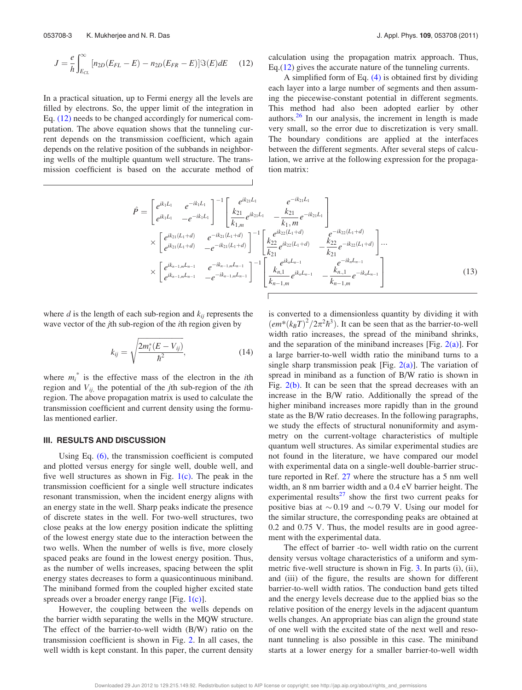$$
J = \frac{e}{h} \int_{E_{CL}}^{\infty} [n_{2D}(E_{FL} - E) - n_{2D}(E_{FR} - E)] \Im(E) dE \tag{12}
$$

In a practical situation, up to Fermi energy all the levels are filled by electrons. So, the upper limit of the integration in Eq. (12) needs to be changed accordingly for numerical computation. The above equation shows that the tunneling current depends on the transmission coefficient, which again depends on the relative position of the subbands in neighboring wells of the multiple quantum well structure. The transmission coefficient is based on the accurate method of calculation using the propagation matrix approach. Thus, Eq.(12) gives the accurate nature of the tunneling currents.

A simplified form of Eq. (4) is obtained first by dividing each layer into a large number of segments and then assuming the piecewise-constant potential in different segments. This method had also been adopted earlier by other authors.<sup>26</sup> In our analysis, the increment in length is made very small, so the error due to discretization is very small. The boundary conditions are applied at the interfaces between the different segments. After several steps of calculation, we arrive at the following expression for the propagation matrix:

$$
\hat{P} = \begin{bmatrix} e^{ik_1L_1} & e^{-ik_1L_1} \\ e^{ik_1L_1} & -e^{-ik_1L_1} \end{bmatrix}^{-1} \begin{bmatrix} e^{ik_2L_1} & e^{-ik_2L_1} \\ k_2 & e^{ik_2L_1} & -k_2 & -k_2L_1 \\ k_1 & e^{-ik_2L_1} & k_1 & -k_2L_1 \end{bmatrix} \times \begin{bmatrix} e^{ik_2(L_1+d)} & e^{-ik_2(L_1+d)} \\ e^{ik_2L_1(L_1+d)} & -e^{-ik_2L_1(L_1+d)} \end{bmatrix}^{-1} \begin{bmatrix} e^{ik_2(L_1+d)} & e^{-ik_2(L_1+d)} \\ k_2 & e^{ik_2(L_1+d)} & -k_2 & -k_2L_1(L_1+d) \\ k_2 & e^{ik_2L_1(L_1+d)} & -k_2 & -k_2L_1(L_1+d) \end{bmatrix} \cdots \times \begin{bmatrix} e^{ik_{n-1,m}L_{n-1}} & e^{-ik_{n-1,m}L_{n-1}} \\ e^{ik_{n-1,m}L_{n-1}} & -e^{-ik_{n-1,m}L_{n-1}} \end{bmatrix}^{-1} \begin{bmatrix} e^{ik_nL_{n-1}} & e^{-ik_nL_{n-1}} \\ k_{n-1,m} & -k_{n-1,m} & -k_{n-1,m} \end{bmatrix}
$$
\n(13)

where  $d$  is the length of each sub-region and  $k_{ij}$  represents the wave vector of the *j*th sub-region of the *i*th region given by

$$
k_{ij} = \sqrt{\frac{2m_i^*(E - V_{ij})}{\hbar^2}},
$$
\n(14)

where  $m_i^*$  is the effective mass of the electron in the *i*th region and *Vij,* the potential of the *j*th sub-region of the *i*th region. The above propagation matrix is used to calculate the transmission coefficient and current density using the formulas mentioned earlier.

#### III. RESULTS AND DISCUSSION

Using Eq. (6), the transmission coefficient is computed and plotted versus energy for single well, double well, and five well structures as shown in Fig.  $1(c)$ . The peak in the transmission coefficient for a single well structure indicates resonant transmission, when the incident energy aligns with an energy state in the well. Sharp peaks indicate the presence of discrete states in the well. For two-well structures, two close peaks at the low energy position indicate the splitting of the lowest energy state due to the interaction between the two wells. When the number of wells is five, more closely spaced peaks are found in the lowest energy position. Thus, as the number of wells increases, spacing between the split energy states decreases to form a quasicontinuous miniband. The miniband formed from the coupled higher excited state spreads over a broader energy range [Fig.  $1(c)$ ].

However, the coupling between the wells depends on the barrier width separating the wells in the MQW structure. The effect of the barrier-to-well width (B/W) ratio on the transmission coefficient is shown in Fig. 2. In all cases, the well width is kept constant. In this paper, the current density is converted to a dimensionless quantity by dividing it with  $\left(\frac{em^*(k_B T)^2}{2\pi^2\hbar^3}\right)$ . It can be seen that as the barrier-to-well width ratio increases, the spread of the miniband shrinks, and the separation of the miniband increases [Fig.  $2(a)$ ]. For a large barrier-to-well width ratio the miniband turns to a single sharp transmission peak [Fig.  $2(a)$ ]. The variation of spread in miniband as a function of B/W ratio is shown in Fig. 2(b). It can be seen that the spread decreases with an increase in the B/W ratio. Additionally the spread of the higher miniband increases more rapidly than in the ground state as the B/W ratio decreases. In the following paragraphs, we study the effects of structural nonuniformity and asymmetry on the current-voltage characteristics of multiple quantum well structures. As similar experimental studies are not found in the literature, we have compared our model with experimental data on a single-well double-barrier structure reported in Ref. 27 where the structure has a 5 nm well width, an 8 nm barrier width and a 0.4 eV barrier height. The experimental results<sup>27</sup> show the first two current peaks for positive bias at  $\sim$  0.19 and  $\sim$  0.79 V. Using our model for the similar structure, the corresponding peaks are obtained at 0.2 and 0.75 V. Thus, the model results are in good agreement with the experimental data.

The effect of barrier -to- well width ratio on the current density versus voltage characteristics of a uniform and symmetric five-well structure is shown in Fig. 3. In parts (i), (ii), and (iii) of the figure, the results are shown for different barrier-to-well width ratios. The conduction band gets tilted and the energy levels decrease due to the applied bias so the relative position of the energy levels in the adjacent quantum wells changes. An appropriate bias can align the ground state of one well with the excited state of the next well and resonant tunneling is also possible in this case. The miniband starts at a lower energy for a smaller barrier-to-well width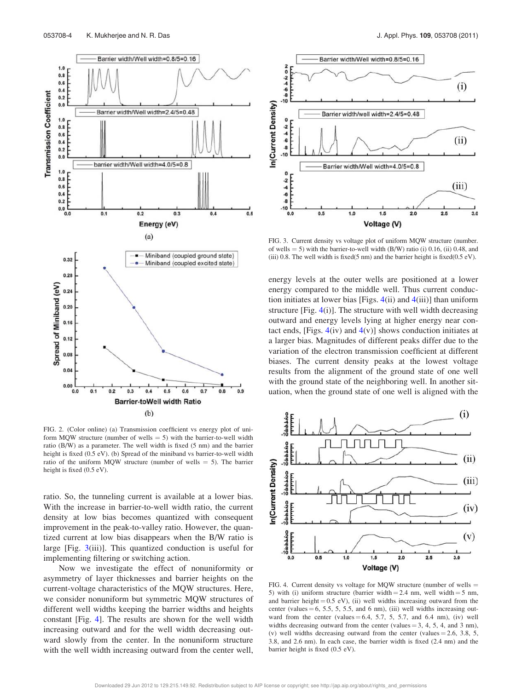

FIG. 2. (Color online) (a) Transmission coefficient vs energy plot of uniform MQW structure (number of wells  $= 5$ ) with the barrier-to-well width ratio (B/W) as a parameter. The well width is fixed (5 nm) and the barrier height is fixed (0.5 eV). (b) Spread of the miniband vs barrier-to-well width ratio of the uniform MQW structure (number of wells  $=$  5). The barrier height is fixed (0.5 eV).

ratio. So, the tunneling current is available at a lower bias. With the increase in barrier-to-well width ratio, the current density at low bias becomes quantized with consequent improvement in the peak-to-valley ratio. However, the quantized current at low bias disappears when the B/W ratio is large [Fig.  $3(iii)$ ]. This quantized conduction is useful for implementing filtering or switching action.

Now we investigate the effect of nonuniformity or asymmetry of layer thicknesses and barrier heights on the current-voltage characteristics of the MQW structures. Here, we consider nonuniform but symmetric MQW structures of different well widths keeping the barrier widths and heights constant [Fig. 4]. The results are shown for the well width increasing outward and for the well width decreasing outward slowly from the center. In the nonuniform structure with the well width increasing outward from the center well,



FIG. 3. Current density vs voltage plot of uniform MQW structure (number. of wells  $= 5$ ) with the barrier-to-well width (B/W) ratio (i) 0.16, (ii) 0.48, and (iii) 0.8. The well width is fixed(5 nm) and the barrier height is fixed(0.5 eV).

energy levels at the outer wells are positioned at a lower energy compared to the middle well. Thus current conduction initiates at lower bias [Figs.  $4(ii)$  and  $4(iii)$ ] than uniform structure  $[Fig. 4(i)]$ . The structure with well width decreasing outward and energy levels lying at higher energy near contact ends, [Figs.  $4(iv)$  and  $4(v)$ ] shows conduction initiates at a larger bias. Magnitudes of different peaks differ due to the variation of the electron transmission coefficient at different biases. The current density peaks at the lowest voltage results from the alignment of the ground state of one well with the ground state of the neighboring well. In another situation, when the ground state of one well is aligned with the



FIG. 4. Current density vs voltage for MQW structure (number of wells  $=$ 5) with (i) uniform structure (barrier width  $= 2.4$  nm, well width  $= 5$  nm, and barrier height  $= 0.5$  eV), (ii) well widths increasing outward from the center (values  $= 6, 5.5, 5, 5.5,$  and 6 nm), (iii) well widths increasing outward from the center (values  $= 6.4, 5.7, 5, 5.7,$  and 6.4 nm), (iv) well widths decreasing outward from the center (values  $=$  3, 4, 5, 4, and 3 nm), (v) well widths decreasing outward from the center (values  $= 2.6, 3.8, 5,$ 3.8, and 2.6 nm). In each case, the barrier width is fixed (2.4 nm) and the barrier height is fixed (0.5 eV).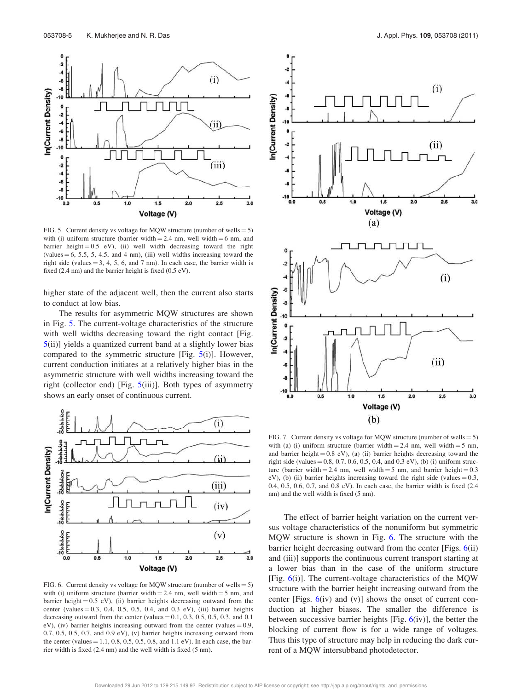

FIG. 5. Current density vs voltage for MQW structure (number of wells  $= 5$ ) with (i) uniform structure (barrier width  $= 2.4$  nm, well width  $= 6$  nm, and barrier height =  $0.5$  eV), (ii) well width decreasing toward the right (values  $= 6, 5.5, 5, 4.5,$  and 4 nm), (iii) well widths increasing toward the right side (values  $= 3, 4, 5, 6,$  and 7 nm). In each case, the barrier width is fixed (2.4 nm) and the barrier height is fixed (0.5 eV).

higher state of the adjacent well, then the current also starts to conduct at low bias.

The results for asymmetric MQW structures are shown in Fig. 5. The current-voltage characteristics of the structure with well widths decreasing toward the right contact [Fig. 5(ii)] yields a quantized current band at a slightly lower bias compared to the symmetric structure [Fig.  $5(i)$ ]. However, current conduction initiates at a relatively higher bias in the asymmetric structure with well widths increasing toward the right (collector end) [Fig.  $5(iii)$ ]. Both types of asymmetry shows an early onset of continuous current.



FIG. 6. Current density vs voltage for MQW structure (number of wells  $= 5$ ) with (i) uniform structure (barrier width  $=$  2.4 nm, well width  $=$  5 nm, and barrier height  $= 0.5$  eV), (ii) barrier heights decreasing outward from the center (values  $= 0.3, 0.4, 0.5, 0.5, 0.4,$  and  $0.3$  eV), (iii) barrier heights decreasing outward from the center (values  $= 0.1, 0.3, 0.5, 0.5, 0.3,$  and 0.1 eV), (iv) barrier heights increasing outward from the center (values =  $0.9$ , 0.7, 0.5, 0.5, 0.7, and 0.9 eV), (v) barrier heights increasing outward from the center (values =  $1.1, 0.8, 0.5, 0.5, 0.8$ , and  $1.1$  eV). In each case, the barrier width is fixed (2.4 nm) and the well width is fixed (5 nm).



FIG. 7. Current density vs voltage for MQW structure (number of wells  $= 5$ ) with (a) (i) uniform structure (barrier width  $= 2.4$  nm, well width  $= 5$  nm, and barrier height  $= 0.8$  eV), (a) (ii) barrier heights decreasing toward the right side (values =  $0.8, 0.7, 0.6, 0.5, 0.4,$  and  $0.3$  eV), (b) (i) uniform structure (barrier width  $= 2.4$  nm, well width  $= 5$  nm, and barrier height  $= 0.3$ eV), (b) (ii) barrier heights increasing toward the right side (values  $= 0.3$ , 0.4, 0.5, 0.6, 0.7, and 0.8 eV). In each case, the barrier width is fixed (2.4 nm) and the well width is fixed (5 nm).

The effect of barrier height variation on the current versus voltage characteristics of the nonuniform but symmetric MQW structure is shown in Fig. 6. The structure with the barrier height decreasing outward from the center [Figs. 6(ii) and (iii)] supports the continuous current transport starting at a lower bias than in the case of the uniform structure [Fig.  $6(i)$ ]. The current-voltage characteristics of the MQW structure with the barrier height increasing outward from the center [Figs.  $6(iv)$  and (v)] shows the onset of current conduction at higher biases. The smaller the difference is between successive barrier heights [Fig. 6(iv)], the better the blocking of current flow is for a wide range of voltages. Thus this type of structure may help in reducing the dark current of a MQW intersubband photodetector.